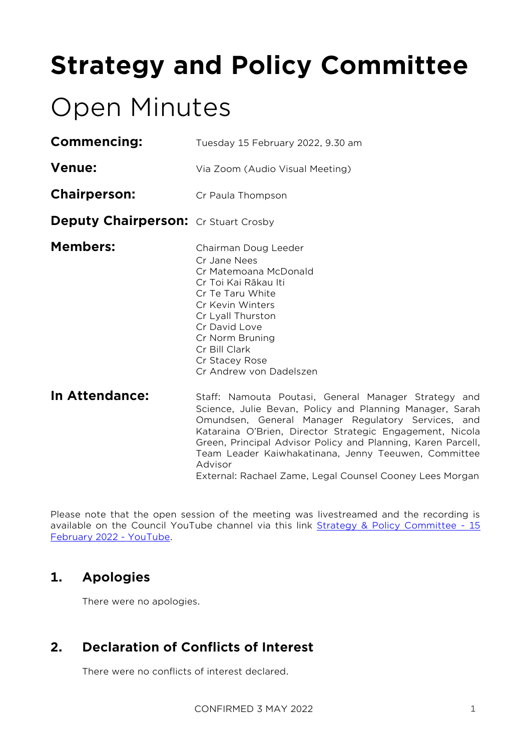# **Strategy and Policy Committee**

# Open Minutes

| <b>Commencing:</b>                          | Tuesday 15 February 2022, 9.30 am                                                                                                                                                                                                                     |  |  |
|---------------------------------------------|-------------------------------------------------------------------------------------------------------------------------------------------------------------------------------------------------------------------------------------------------------|--|--|
| <b>Venue:</b>                               | Via Zoom (Audio Visual Meeting)                                                                                                                                                                                                                       |  |  |
| <b>Chairperson:</b>                         | Cr Paula Thompson                                                                                                                                                                                                                                     |  |  |
| <b>Deputy Chairperson:</b> Cr Stuart Crosby |                                                                                                                                                                                                                                                       |  |  |
| <b>Members:</b>                             | Chairman Doug Leeder<br>Cr. Jane Nees<br>Cr Matemoana McDonald<br>Cr Toi Kai Rākau Iti<br>Cr Te Taru White<br>Cr Kevin Winters<br>Cr Lyall Thurston<br>Cr David Love<br>Cr Norm Bruning<br>Cr Bill Clark<br>Cr Stacey Rose<br>Cr Andrew von Dadelszen |  |  |
| In Attendance:                              | Staff: Namouta Poutasi, General<br>Science, Julie Bevan, Policy and F<br>Omundsen, General Manager Re<br>$U$ otoxoino $O/Dx$ ion $Dix$ ootox $C+xd$ to                                                                                                |  |  |

Manager Strategy and Planning Manager, Sarah gulatory Services, and Kataraina O'Brien, Director Strategic Engagement, Nicola Green, Principal Advisor Policy and Planning, Karen Parcell, Team Leader Kaiwhakatinana, Jenny Teeuwen, Committee Advisor External: Rachael Zame, Legal Counsel Cooney Lees Morgan

Please note that the open session of the meeting was livestreamed and the recording is available on the Council YouTube channel via this link [Strategy & Policy Committee -](https://www.youtube.com/watch?v=KBPDeHrZE-U) 15 [February 2022 -](https://www.youtube.com/watch?v=KBPDeHrZE-U) YouTube.

## **1. Apologies**

There were no apologies.

## **2. Declaration of Conflicts of Interest**

There were no conflicts of interest declared.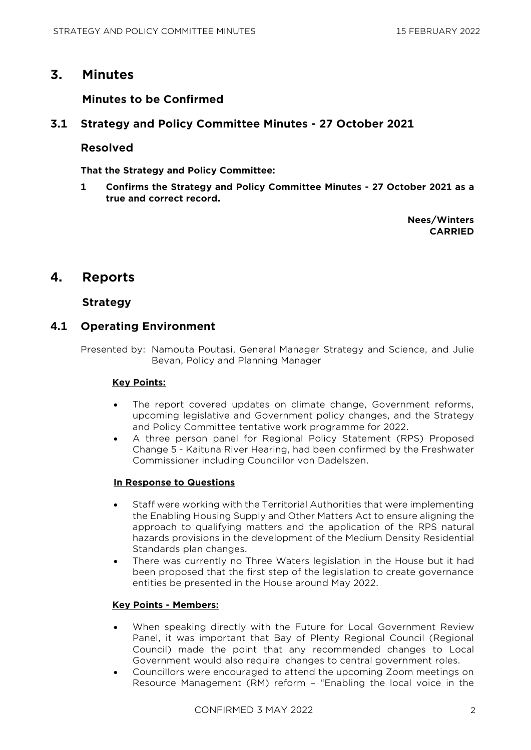### **3. Minutes**

#### **Minutes to be Confirmed**

#### **3.1 Strategy and Policy Committee Minutes - 27 October 2021**

#### **Resolved**

**That the Strategy and Policy Committee:**

**1 Confirms the Strategy and Policy Committee Minutes - 27 October 2021 as a true and correct record.**

> **Nees/Winters CARRIED**

### **4. Reports**

#### **Strategy**

#### **4.1 Operating Environment**

Presented by: Namouta Poutasi, General Manager Strategy and Science, and Julie Bevan, Policy and Planning Manager

#### **Key Points:**

- The report covered updates on climate change, Government reforms, upcoming legislative and Government policy changes, and the Strategy and Policy Committee tentative work programme for 2022.
- A three person panel for Regional Policy Statement (RPS) Proposed Change 5 - Kaituna River Hearing, had been confirmed by the Freshwater Commissioner including Councillor von Dadelszen.

#### **In Response to Questions**

- Staff were working with the Territorial Authorities that were implementing the Enabling Housing Supply and Other Matters Act to ensure aligning the approach to qualifying matters and the application of the RPS natural hazards provisions in the development of the Medium Density Residential Standards plan changes.
- There was currently no Three Waters legislation in the House but it had been proposed that the first step of the legislation to create governance entities be presented in the House around May 2022.

#### **Key Points - Members:**

- When speaking directly with the Future for Local Government Review Panel, it was important that Bay of Plenty Regional Council (Regional Council) made the point that any recommended changes to Local Government would also require changes to central government roles.
- Councillors were encouraged to attend the upcoming Zoom meetings on Resource Management (RM) reform – "Enabling the local voice in the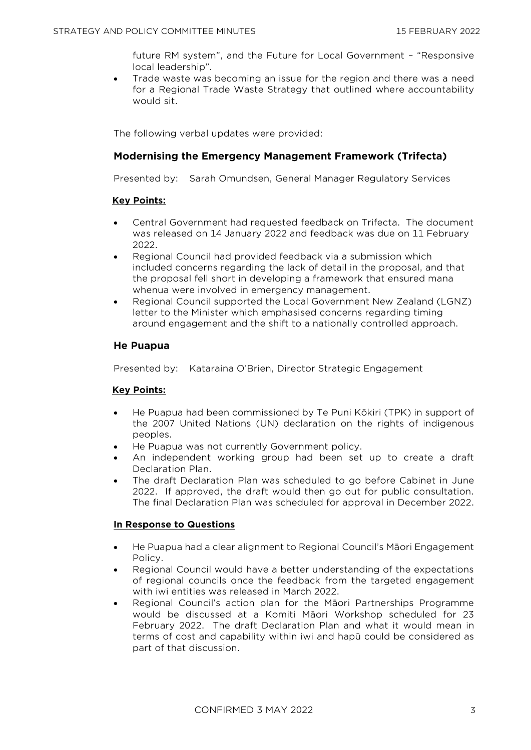future RM system", and the Future for Local Government – "Responsive local leadership".

• Trade waste was becoming an issue for the region and there was a need for a Regional Trade Waste Strategy that outlined where accountability would sit.

The following verbal updates were provided:

#### **Modernising the Emergency Management Framework (Trifecta)**

Presented by: Sarah Omundsen, General Manager Regulatory Services

#### **Key Points:**

- Central Government had requested feedback on Trifecta. The document was released on 14 January 2022 and feedback was due on 11 February 2022.
- Regional Council had provided feedback via a submission which included concerns regarding the lack of detail in the proposal, and that the proposal fell short in developing a framework that ensured mana whenua were involved in emergency management.
- Regional Council supported the Local Government New Zealand (LGNZ) letter to the Minister which emphasised concerns regarding timing around engagement and the shift to a nationally controlled approach.

#### **He Puapua**

Presented by: Kataraina O'Brien, Director Strategic Engagement

#### **Key Points:**

- He Puapua had been commissioned by Te Puni Kōkiri (TPK) in support of the 2007 United Nations (UN) declaration on the rights of indigenous peoples.
- He Puapua was not currently Government policy.
- An independent working group had been set up to create a draft Declaration Plan.
- The draft Declaration Plan was scheduled to go before Cabinet in June 2022. If approved, the draft would then go out for public consultation. The final Declaration Plan was scheduled for approval in December 2022.

#### **In Response to Questions**

- He Puapua had a clear alignment to Regional Council's Māori Engagement Policy.
- Regional Council would have a better understanding of the expectations of regional councils once the feedback from the targeted engagement with iwi entities was released in March 2022.
- Regional Council's action plan for the Māori Partnerships Programme would be discussed at a Komiti Māori Workshop scheduled for 23 February 2022. The draft Declaration Plan and what it would mean in terms of cost and capability within iwi and hapū could be considered as part of that discussion.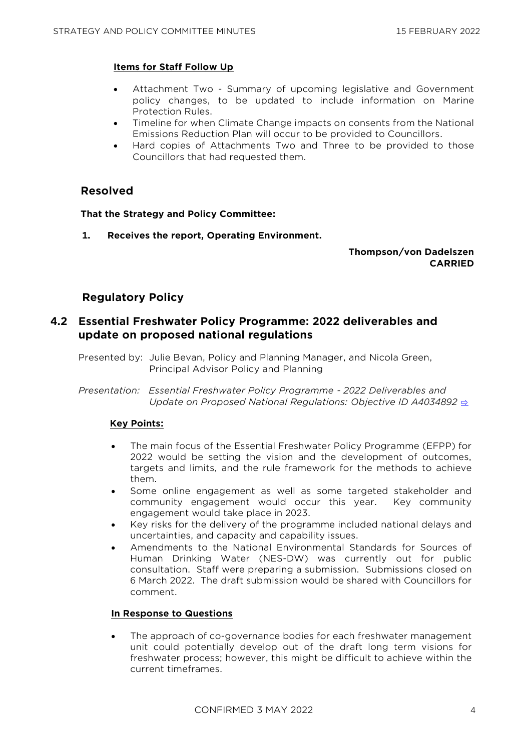#### **Items for Staff Follow Up**

- Attachment Two Summary of upcoming legislative and Government policy changes, to be updated to include information on Marine Protection Rules.
- Timeline for when Climate Change impacts on consents from the National Emissions Reduction Plan will occur to be provided to Councillors.
- Hard copies of Attachments Two and Three to be provided to those Councillors that had requested them.

#### **Resolved**

#### **That the Strategy and Policy Committee:**

**1. Receives the report, Operating Environment.**

#### **Thompson/von Dadelszen CARRIED**

#### **Regulatory Policy**

#### **4.2 Essential Freshwater Policy Programme: 2022 deliverables and update on proposed national regulations**

Presented by: Julie Bevan, Policy and Planning Manager, and Nicola Green, Principal Advisor Policy and Planning

*Presentation: Essential Freshwater Policy Programme - 2022 Deliverables and Update on Proposed National Regulations: Objective ID A4034892* **[⇨](../../../RedirectToInvalidFileName.aspx?FileName=SP_20220215_MAT_3471.PDF#PAGE=2)** 

#### **Key Points:**

- The main focus of the Essential Freshwater Policy Programme (EFPP) for 2022 would be setting the vision and the development of outcomes, targets and limits, and the rule framework for the methods to achieve them.
- Some online engagement as well as some targeted stakeholder and community engagement would occur this year. Key community engagement would take place in 2023.
- Key risks for the delivery of the programme included national delays and uncertainties, and capacity and capability issues.
- Amendments to the National Environmental Standards for Sources of Human Drinking Water (NES-DW) was currently out for public consultation. Staff were preparing a submission. Submissions closed on 6 March 2022. The draft submission would be shared with Councillors for comment.

#### **In Response to Questions**

The approach of co-governance bodies for each freshwater management unit could potentially develop out of the draft long term visions for freshwater process; however, this might be difficult to achieve within the current timeframes.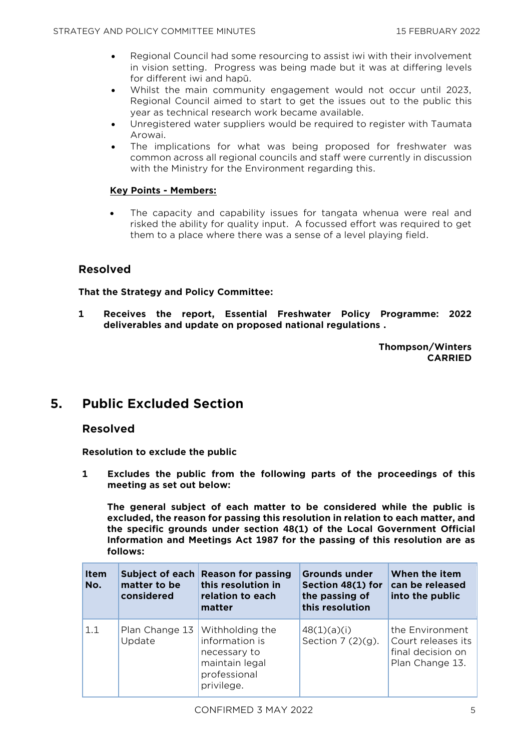- Regional Council had some resourcing to assist iwi with their involvement in vision setting. Progress was being made but it was at differing levels for different iwi and hapū.
- Whilst the main community engagement would not occur until 2023, Regional Council aimed to start to get the issues out to the public this year as technical research work became available.
- Unregistered water suppliers would be required to register with Taumata Arowai.
- The implications for what was being proposed for freshwater was common across all regional councils and staff were currently in discussion with the Ministry for the Environment regarding this.

#### **Key Points - Members:**

The capacity and capability issues for tangata whenua were real and risked the ability for quality input. A focussed effort was required to get them to a place where there was a sense of a level playing field.

#### **Resolved**

#### **That the Strategy and Policy Committee:**

**1 Receives the report, Essential Freshwater Policy Programme: 2022 deliverables and update on proposed national regulations .**

> **Thompson/Winters CARRIED**

## **5. Public Excluded Section**

#### **Resolved**

**Resolution to exclude the public**

**1 Excludes the public from the following parts of the proceedings of this meeting as set out below:**

**The general subject of each matter to be considered while the public is excluded, the reason for passing this resolution in relation to each matter, and the specific grounds under section 48(1) of the Local Government Official Information and Meetings Act 1987 for the passing of this resolution are as follows:**

| <b>Item</b><br>No. | Subject of each<br>matter to be<br>considered | <b>Reason for passing</b><br>this resolution in<br>relation to each<br>matter                     | <b>Grounds under</b><br>Section 48(1) for<br>the passing of<br>this resolution | When the item<br>can be released<br>into the public                           |
|--------------------|-----------------------------------------------|---------------------------------------------------------------------------------------------------|--------------------------------------------------------------------------------|-------------------------------------------------------------------------------|
| 1.1                | Plan Change 13<br>Update                      | Withholding the<br>information is<br>necessary to<br>maintain legal<br>professional<br>privilege. | 48(1)(a)(i)<br>Section $7(2)(9)$ .                                             | the Environment<br>Court releases its<br>final decision on<br>Plan Change 13. |